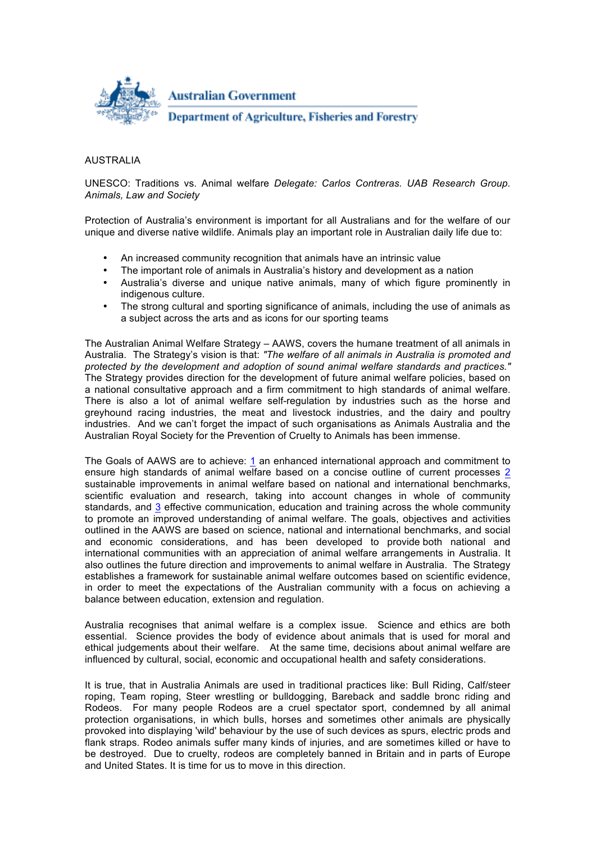

## AUSTRALIA

UNESCO: Traditions vs. Animal welfare *Delegate: Carlos Contreras. UAB Research Group. Animals, Law and Society*

Protection of Australia's environment is important for all Australians and for the welfare of our unique and diverse native wildlife. Animals play an important role in Australian daily life due to:

- An increased community recognition that animals have an intrinsic value
- The important role of animals in Australia's history and development as a nation
- Australia's diverse and unique native animals, many of which figure prominently in indigenous culture.
- The strong cultural and sporting significance of animals, including the use of animals as a subject across the arts and as icons for our sporting teams

The Australian Animal Welfare Strategy – AAWS, covers the humane treatment of all animals in Australia. The Strategy's vision is that: *"The welfare of all animals in Australia is promoted and protected by the development and adoption of sound animal welfare standards and practices."* The Strategy provides direction for the development of future animal welfare policies, based on a national consultative approach and a firm commitment to high standards of animal welfare. There is also a lot of animal welfare self-regulation by industries such as the horse and greyhound racing industries, the meat and livestock industries, and the dairy and poultry industries. And we can't forget the impact of such organisations as Animals Australia and the Australian Royal Society for the Prevention of Cruelty to Animals has been immense.

The Goals of AAWS are to achieve: 1 an enhanced international approach and commitment to ensure high standards of animal welfare based on a concise outline of current processes 2 sustainable improvements in animal welfare based on national and international benchmarks, scientific evaluation and research, taking into account changes in whole of community standards, and 3 effective communication, education and training across the whole community to promote an improved understanding of animal welfare. The goals, objectives and activities outlined in the AAWS are based on science, national and international benchmarks, and social and economic considerations, and has been developed to provide both national and international communities with an appreciation of animal welfare arrangements in Australia. It also outlines the future direction and improvements to animal welfare in Australia. The Strategy establishes a framework for sustainable animal welfare outcomes based on scientific evidence, in order to meet the expectations of the Australian community with a focus on achieving a balance between education, extension and regulation.

Australia recognises that animal welfare is a complex issue. Science and ethics are both essential. Science provides the body of evidence about animals that is used for moral and ethical judgements about their welfare. At the same time, decisions about animal welfare are influenced by cultural, social, economic and occupational health and safety considerations.

It is true, that in Australia Animals are used in traditional practices like: Bull Riding, Calf/steer roping, Team roping, Steer wrestling or bulldogging, Bareback and saddle bronc riding and Rodeos. For many people Rodeos are a cruel spectator sport, condemned by all animal protection organisations, in which bulls, horses and sometimes other animals are physically provoked into displaying 'wild' behaviour by the use of such devices as spurs, electric prods and flank straps. Rodeo animals suffer many kinds of injuries, and are sometimes killed or have to be destroyed. Due to cruelty, rodeos are completely banned in Britain and in parts of Europe and United States. It is time for us to move in this direction.